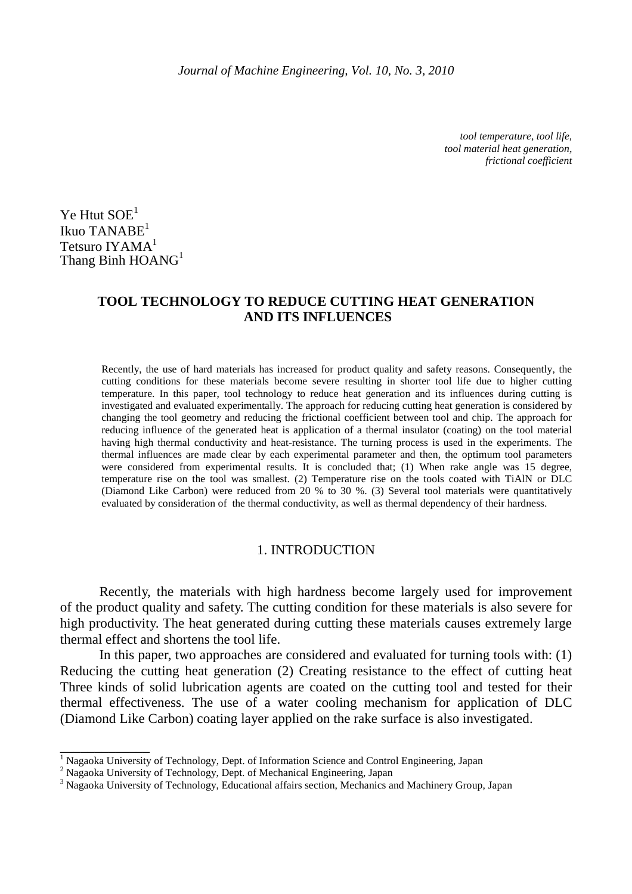*tool temperature, tool life, tool material heat generation, frictional coefficient* 

 $Ye$  Htut  $SOE<sup>1</sup>$ Ikuo  $TANABE<sup>1</sup>$ Tetsuro IYAMA<sup>1</sup> Thang Binh HOANG<sup>1</sup>

# **TOOL TECHNOLOGY TO REDUCE CUTTING HEAT GENERATION AND ITS INFLUENCES**

Recently, the use of hard materials has increased for product quality and safety reasons. Consequently, the cutting conditions for these materials become severe resulting in shorter tool life due to higher cutting temperature. In this paper, tool technology to reduce heat generation and its influences during cutting is investigated and evaluated experimentally. The approach for reducing cutting heat generation is considered by changing the tool geometry and reducing the frictional coefficient between tool and chip. The approach for reducing influence of the generated heat is application of a thermal insulator (coating) on the tool material having high thermal conductivity and heat-resistance. The turning process is used in the experiments. The thermal influences are made clear by each experimental parameter and then, the optimum tool parameters were considered from experimental results. It is concluded that; (1) When rake angle was 15 degree, temperature rise on the tool was smallest. (2) Temperature rise on the tools coated with TiAlN or DLC (Diamond Like Carbon) were reduced from 20 % to 30 %. (3) Several tool materials were quantitatively evaluated by consideration of the thermal conductivity, as well as thermal dependency of their hardness.

# 1. INTRODUCTION

Recently, the materials with high hardness become largely used for improvement of the product quality and safety. The cutting condition for these materials is also severe for high productivity. The heat generated during cutting these materials causes extremely large thermal effect and shortens the tool life.

In this paper, two approaches are considered and evaluated for turning tools with: (1) Reducing the cutting heat generation (2) Creating resistance to the effect of cutting heat Three kinds of solid lubrication agents are coated on the cutting tool and tested for their thermal effectiveness. The use of a water cooling mechanism for application of DLC (Diamond Like Carbon) coating layer applied on the rake surface is also investigated.

<sup>1&</sup>lt;br><sup>1</sup> Nagaoka University of Technology, Dept. of Information Science and Control Engineering, Japan

<sup>&</sup>lt;sup>2</sup> Nagaoka University of Technology, Dept. of Mechanical Engineering, Japan

<sup>&</sup>lt;sup>3</sup> Nagaoka University of Technology, Educational affairs section, Mechanics and Machinery Group, Japan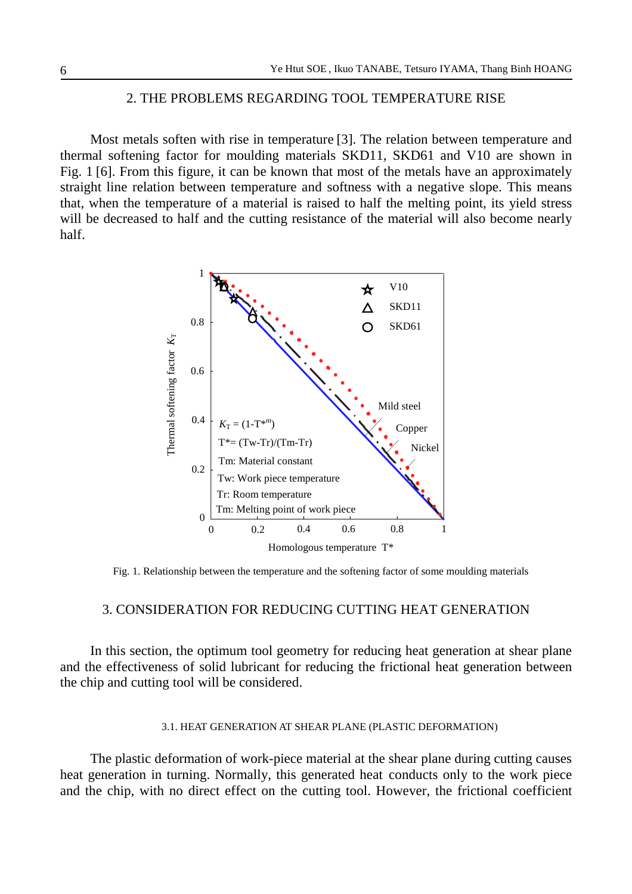## 2. THE PROBLEMS REGARDING TOOL TEMPERATURE RISE

Most metals soften with rise in temperature [3]. The relation between temperature and thermal softening factor for moulding materials SKD11, SKD61 and V10 are shown in Fig. 1 [6]. From this figure, it can be known that most of the metals have an approximately straight line relation between temperature and softness with a negative slope. This means that, when the temperature of a material is raised to half the melting point, its yield stress will be decreased to half and the cutting resistance of the material will also become nearly half.



Fig. 1. Relationship between the temperature and the softening factor of some moulding materials

# 3. CONSIDERATION FOR REDUCING CUTTING HEAT GENERATION

In this section, the optimum tool geometry for reducing heat generation at shear plane and the effectiveness of solid lubricant for reducing the frictional heat generation between the chip and cutting tool will be considered.

### 3.1. HEAT GENERATION AT SHEAR PLANE (PLASTIC DEFORMATION)

The plastic deformation of work-piece material at the shear plane during cutting causes heat generation in turning. Normally, this generated heat conducts only to the work piece and the chip, with no direct effect on the cutting tool. However, the frictional coefficient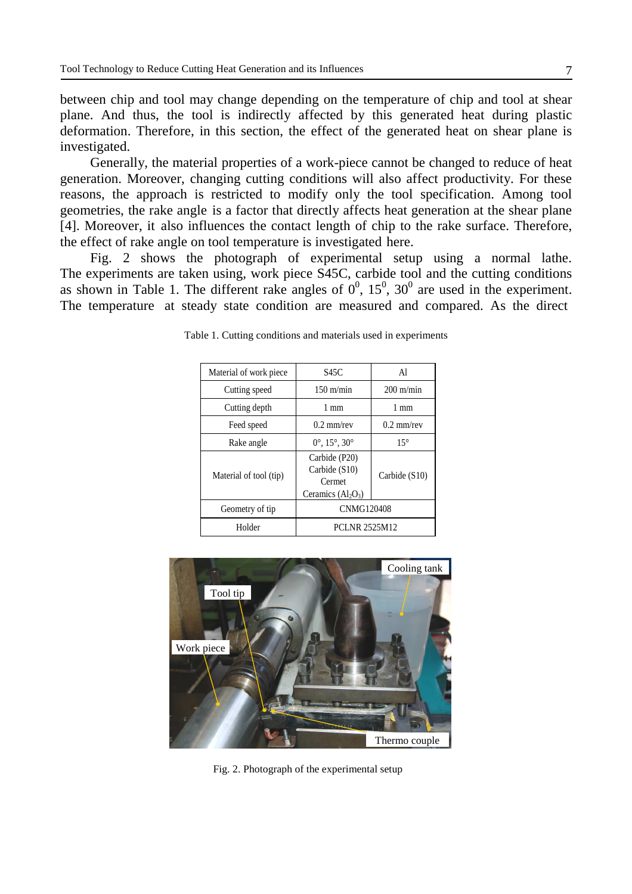between chip and tool may change depending on the temperature of chip and tool at shear plane. And thus, the tool is indirectly affected by this generated heat during plastic deformation. Therefore, in this section, the effect of the generated heat on shear plane is investigated.

Generally, the material properties of a work-piece cannot be changed to reduce of heat generation. Moreover, changing cutting conditions will also affect productivity. For these reasons, the approach is restricted to modify only the tool specification. Among tool geometries, the rake angle is a factor that directly affects heat generation at the shear plane [4]. Moreover, it also influences the contact length of chip to the rake surface. Therefore, the effect of rake angle on tool temperature is investigated here.

Fig. 2 shows the photograph of experimental setup using a normal lathe. The experiments are taken using, work piece S45C, carbide tool and the cutting conditions as shown in Table 1. The different rake angles of  $0^0$ ,  $15^0$ ,  $30^0$  are used in the experiment. The temperature at steady state condition are measured and compared. As the direct

| Material of work piece | S45C                                                             | Al                  |
|------------------------|------------------------------------------------------------------|---------------------|
| Cutting speed          | $150 \text{ m/min}$                                              | $200 \text{ m/min}$ |
| Cutting depth          | $1 \text{ mm}$                                                   | $1 \text{ mm}$      |
| Feed speed             | $0.2$ mm/rev                                                     | $0.2$ mm/rev        |
| Rake angle             | $0^{\circ}$ , 15°, 30°                                           | $15^{\circ}$        |
| Material of tool (tip) | Carbide (P20)<br>Carbide (S10)<br>Cermet<br>Ceramics $(Al_2O_3)$ | Carbide (S10)       |
| Geometry of tip        | CNMG120408                                                       |                     |
| Holder                 | <b>PCLNR 2525M12</b>                                             |                     |

Table 1. Cutting conditions and materials used in experiments



Fig. 2. Photograph of the experimental setup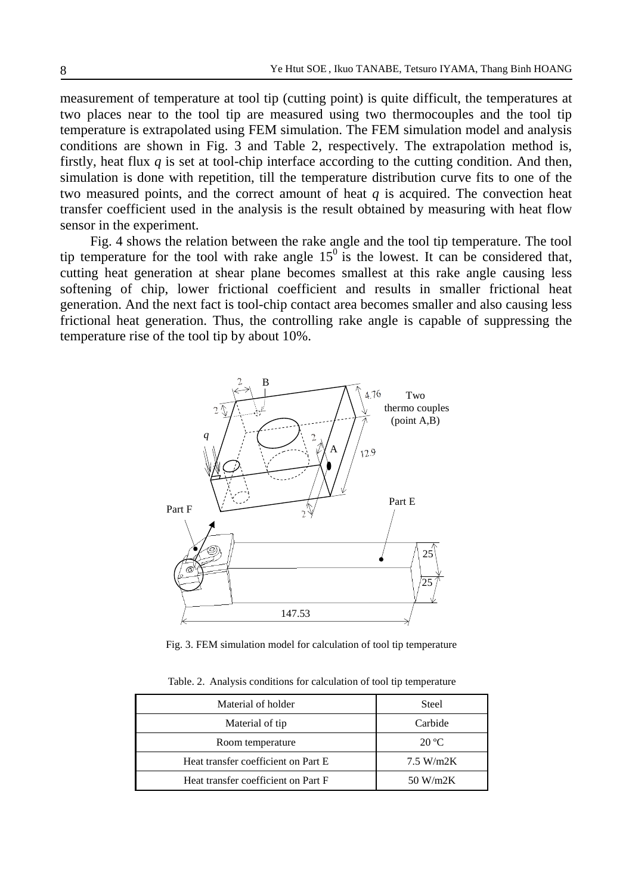measurement of temperature at tool tip (cutting point) is quite difficult, the temperatures at two places near to the tool tip are measured using two thermocouples and the tool tip temperature is extrapolated using FEM simulation. The FEM simulation model and analysis conditions are shown in Fig. 3 and Table 2, respectively. The extrapolation method is, firstly, heat flux *q* is set at tool-chip interface according to the cutting condition. And then, simulation is done with repetition, till the temperature distribution curve fits to one of the two measured points, and the correct amount of heat *q* is acquired. The convection heat transfer coefficient used in the analysis is the result obtained by measuring with heat flow sensor in the experiment.

Fig. 4 shows the relation between the rake angle and the tool tip temperature. The tool tip temperature for the tool with rake angle  $15^{\circ}$  is the lowest. It can be considered that, cutting heat generation at shear plane becomes smallest at this rake angle causing less softening of chip, lower frictional coefficient and results in smaller frictional heat generation. And the next fact is tool-chip contact area becomes smaller and also causing less frictional heat generation. Thus, the controlling rake angle is capable of suppressing the temperature rise of the tool tip by about 10%.



Fig. 3. FEM simulation model for calculation of tool tip temperature

Table. 2. Analysis conditions for calculation of tool tip temperature

| Material of holder                   | Steel          |
|--------------------------------------|----------------|
| Material of tip                      | Carbide        |
| Room temperature                     | $20^{\circ}$ C |
| Heat transfer coefficient on Part E. | 7.5 W/m2K      |
| Heat transfer coefficient on Part F  | 50 W/m2K       |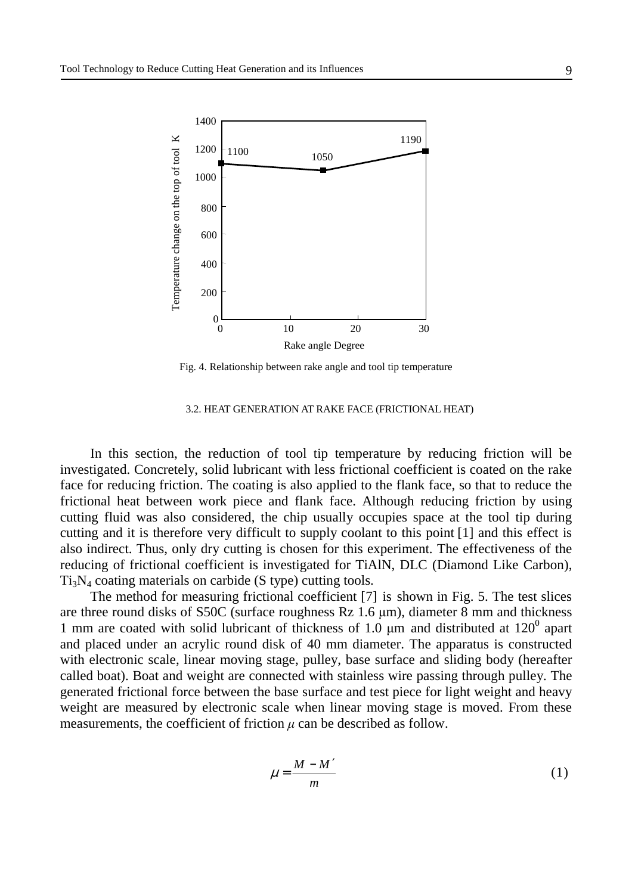

Fig. 4. Relationship between rake angle and tool tip temperature

### 3.2. HEAT GENERATION AT RAKE FACE (FRICTIONAL HEAT)

In this section, the reduction of tool tip temperature by reducing friction will be investigated. Concretely, solid lubricant with less frictional coefficient is coated on the rake face for reducing friction. The coating is also applied to the flank face, so that to reduce the frictional heat between work piece and flank face. Although reducing friction by using cutting fluid was also considered, the chip usually occupies space at the tool tip during cutting and it is therefore very difficult to supply coolant to this point [1] and this effect is also indirect. Thus, only dry cutting is chosen for this experiment. The effectiveness of the reducing of frictional coefficient is investigated for TiAlN, DLC (Diamond Like Carbon),  $Ti<sub>3</sub>N<sub>4</sub>$  coating materials on carbide (S type) cutting tools.

The method for measuring frictional coefficient [7] is shown in Fig. 5. The test slices are three round disks of S50C (surface roughness Rz 1.6 µm), diameter 8 mm and thickness 1 mm are coated with solid lubricant of thickness of 1.0  $\mu$ m and distributed at 120<sup>0</sup> apart and placed under an acrylic round disk of 40 mm diameter. The apparatus is constructed with electronic scale, linear moving stage, pulley, base surface and sliding body (hereafter called boat). Boat and weight are connected with stainless wire passing through pulley. The generated frictional force between the base surface and test piece for light weight and heavy weight are measured by electronic scale when linear moving stage is moved. From these measurements, the coefficient of friction  $\mu$  can be described as follow.

$$
\mu = \frac{M - M'}{m} \tag{1}
$$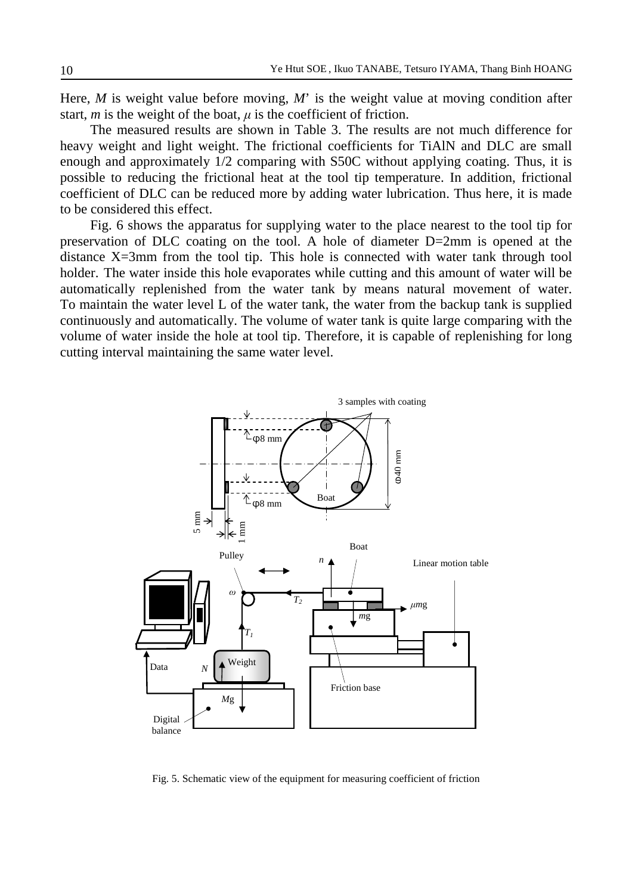Here, *M* is weight value before moving, *M*' is the weight value at moving condition after start,  $m$  is the weight of the boat,  $\mu$  is the coefficient of friction.

The measured results are shown in Table 3. The results are not much difference for heavy weight and light weight. The frictional coefficients for TiAlN and DLC are small enough and approximately 1/2 comparing with S50C without applying coating. Thus, it is possible to reducing the frictional heat at the tool tip temperature. In addition, frictional coefficient of DLC can be reduced more by adding water lubrication. Thus here, it is made to be considered this effect.

Fig. 6 shows the apparatus for supplying water to the place nearest to the tool tip for preservation of DLC coating on the tool. A hole of diameter D=2mm is opened at the distance X=3mm from the tool tip. This hole is connected with water tank through tool holder. The water inside this hole evaporates while cutting and this amount of water will be automatically replenished from the water tank by means natural movement of water. To maintain the water level L of the water tank, the water from the backup tank is supplied continuously and automatically. The volume of water tank is quite large comparing with the volume of water inside the hole at tool tip. Therefore, it is capable of replenishing for long cutting interval maintaining the same water level.



Fig. 5. Schematic view of the equipment for measuring coefficient of friction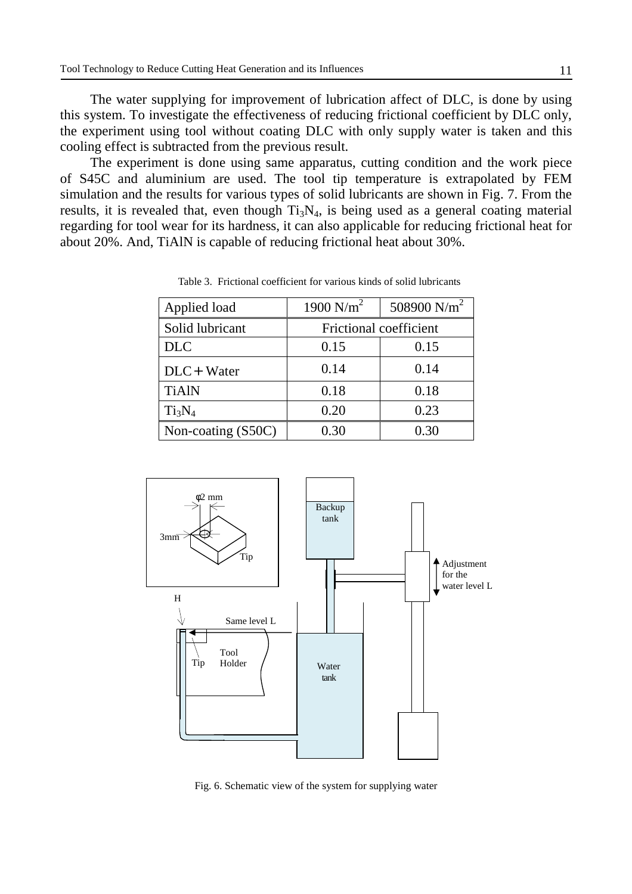The water supplying for improvement of lubrication affect of DLC, is done by using this system. To investigate the effectiveness of reducing frictional coefficient by DLC only, the experiment using tool without coating DLC with only supply water is taken and this cooling effect is subtracted from the previous result.

The experiment is done using same apparatus, cutting condition and the work piece of S45C and aluminium are used. The tool tip temperature is extrapolated by FEM simulation and the results for various types of solid lubricants are shown in Fig. 7. From the results, it is revealed that, even though  $Ti<sub>3</sub>N<sub>4</sub>$ , is being used as a general coating material regarding for tool wear for its hardness, it can also applicable for reducing frictional heat for about 20%. And, TiAlN is capable of reducing frictional heat about 30%.

| Applied load                   | 1900 $N/m^2$           | 508900 $N/m^2$ |
|--------------------------------|------------------------|----------------|
| Solid lubricant                | Frictional coefficient |                |
| <b>DLC</b>                     | 0.15                   | 0.15           |
| $DLC + Water$                  | 0.14                   | 0.14           |
| <b>TiAlN</b>                   | 0.18                   | 0.18           |
| Ti <sub>3</sub> N <sub>4</sub> | 0.20                   | 0.23           |
| Non-coating (S50C)             | 0.30                   | 0.30           |

Table 3. Frictional coefficient for various kinds of solid lubricants



Fig. 6. Schematic view of the system for supplying water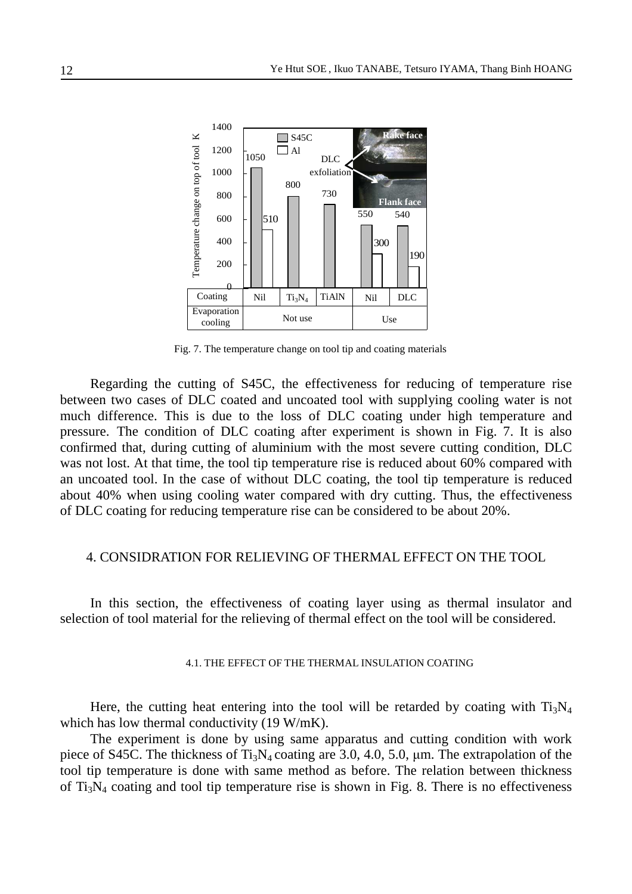

Fig. 7. The temperature change on tool tip and coating materials

Regarding the cutting of S45C, the effectiveness for reducing of temperature rise between two cases of DLC coated and uncoated tool with supplying cooling water is not much difference. This is due to the loss of DLC coating under high temperature and pressure. The condition of DLC coating after experiment is shown in Fig. 7. It is also confirmed that, during cutting of aluminium with the most severe cutting condition, DLC was not lost. At that time, the tool tip temperature rise is reduced about 60% compared with an uncoated tool. In the case of without DLC coating, the tool tip temperature is reduced about 40% when using cooling water compared with dry cutting. Thus, the effectiveness of DLC coating for reducing temperature rise can be considered to be about 20%.

### 4. CONSIDRATION FOR RELIEVING OF THERMAL EFFECT ON THE TOOL

In this section, the effectiveness of coating layer using as thermal insulator and selection of tool material for the relieving of thermal effect on the tool will be considered.

### 4.1. THE EFFECT OF THE THERMAL INSULATION COATING

Here, the cutting heat entering into the tool will be retarded by coating with  $Ti<sub>3</sub>N<sub>4</sub>$ which has low thermal conductivity (19 W/mK).

The experiment is done by using same apparatus and cutting condition with work piece of S45C. The thickness of  $Ti_3N_4$  coating are 3.0, 4.0, 5.0, µm. The extrapolation of the tool tip temperature is done with same method as before. The relation between thickness of  $Ti<sub>3</sub>N<sub>4</sub>$  coating and tool tip temperature rise is shown in Fig. 8. There is no effectiveness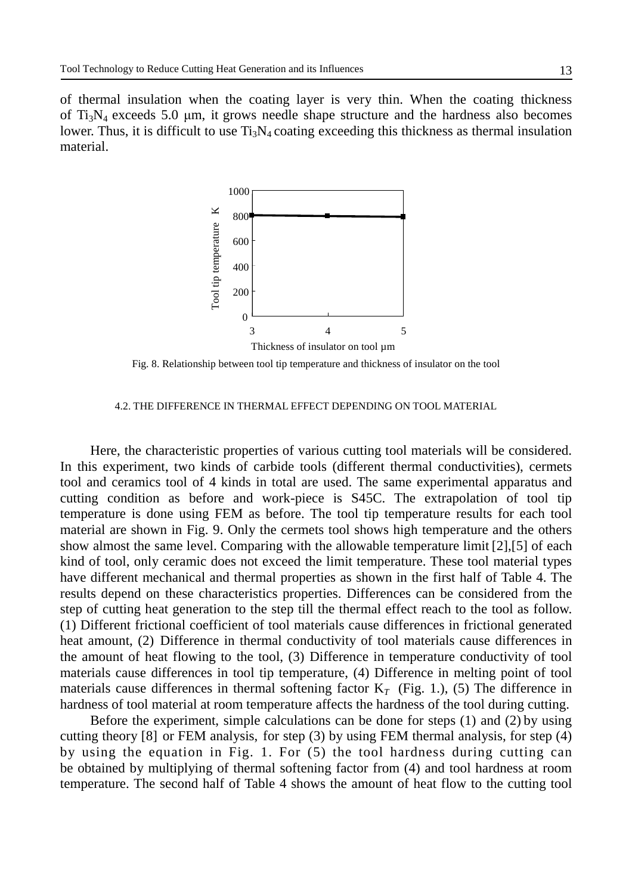of thermal insulation when the coating layer is very thin. When the coating thickness of  $Ti<sub>3</sub>N<sub>4</sub>$  exceeds 5.0 µm, it grows needle shape structure and the hardness also becomes lower. Thus, it is difficult to use  $Ti<sub>3</sub>N<sub>4</sub>$  coating exceeding this thickness as thermal insulation material.



Fig. 8. Relationship between tool tip temperature and thickness of insulator on the tool

#### 4.2. THE DIFFERENCE IN THERMAL EFFECT DEPENDING ON TOOL MATERIAL

Here, the characteristic properties of various cutting tool materials will be considered. In this experiment, two kinds of carbide tools (different thermal conductivities), cermets tool and ceramics tool of 4 kinds in total are used. The same experimental apparatus and cutting condition as before and work-piece is S45C. The extrapolation of tool tip temperature is done using FEM as before. The tool tip temperature results for each tool material are shown in Fig. 9. Only the cermets tool shows high temperature and the others show almost the same level. Comparing with the allowable temperature limit [2],[5] of each kind of tool, only ceramic does not exceed the limit temperature. These tool material types have different mechanical and thermal properties as shown in the first half of Table 4. The results depend on these characteristics properties. Differences can be considered from the step of cutting heat generation to the step till the thermal effect reach to the tool as follow. (1) Different frictional coefficient of tool materials cause differences in frictional generated heat amount, (2) Difference in thermal conductivity of tool materials cause differences in the amount of heat flowing to the tool, (3) Difference in temperature conductivity of tool materials cause differences in tool tip temperature, (4) Difference in melting point of tool materials cause differences in thermal softening factor  $K_T$  (Fig. 1.), (5) The difference in hardness of tool material at room temperature affects the hardness of the tool during cutting.

Before the experiment, simple calculations can be done for steps (1) and (2) by using cutting theory [8] or FEM analysis, for step (3) by using FEM thermal analysis, for step (4) by using the equation in Fig. 1. For (5) the tool hardness during cutting can be obtained by multiplying of thermal softening factor from (4) and tool hardness at room temperature. The second half of Table 4 shows the amount of heat flow to the cutting tool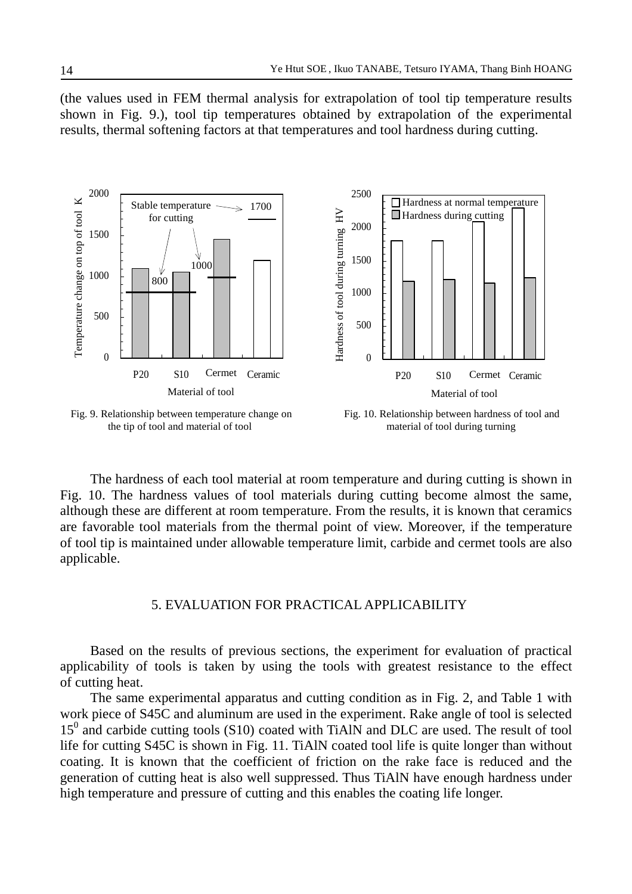(the values used in FEM thermal analysis for extrapolation of tool tip temperature results shown in Fig. 9.), tool tip temperatures obtained by extrapolation of the experimental results, thermal softening factors at that temperatures and tool hardness during cutting.



the tip of tool and material of tool

material of tool during turning

The hardness of each tool material at room temperature and during cutting is shown in Fig. 10. The hardness values of tool materials during cutting become almost the same, although these are different at room temperature. From the results, it is known that ceramics are favorable tool materials from the thermal point of view. Moreover, if the temperature of tool tip is maintained under allowable temperature limit, carbide and cermet tools are also applicable.

# 5. EVALUATION FOR PRACTICAL APPLICABILITY

Based on the results of previous sections, the experiment for evaluation of practical applicability of tools is taken by using the tools with greatest resistance to the effect of cutting heat.

The same experimental apparatus and cutting condition as in Fig. 2, and Table 1 with work piece of S45C and aluminum are used in the experiment. Rake angle of tool is selected 15<sup>0</sup> and carbide cutting tools (S10) coated with TiAlN and DLC are used. The result of tool life for cutting S45C is shown in Fig. 11. TiAlN coated tool life is quite longer than without coating. It is known that the coefficient of friction on the rake face is reduced and the generation of cutting heat is also well suppressed. Thus TiAlN have enough hardness under high temperature and pressure of cutting and this enables the coating life longer.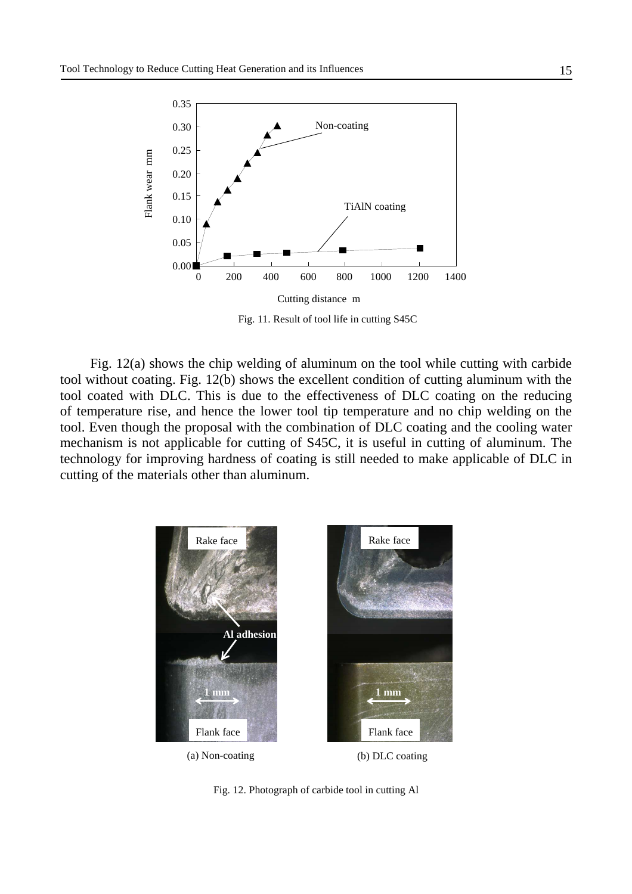

Fig. 11. Result of tool life in cutting S45C

Fig. 12(a) shows the chip welding of aluminum on the tool while cutting with carbide tool without coating. Fig. 12(b) shows the excellent condition of cutting aluminum with the tool coated with DLC. This is due to the effectiveness of DLC coating on the reducing of temperature rise, and hence the lower tool tip temperature and no chip welding on the tool. Even though the proposal with the combination of DLC coating and the cooling water mechanism is not applicable for cutting of S45C, it is useful in cutting of aluminum. The technology for improving hardness of coating is still needed to make applicable of DLC in cutting of the materials other than aluminum.



Fig. 12. Photograph of carbide tool in cutting Al